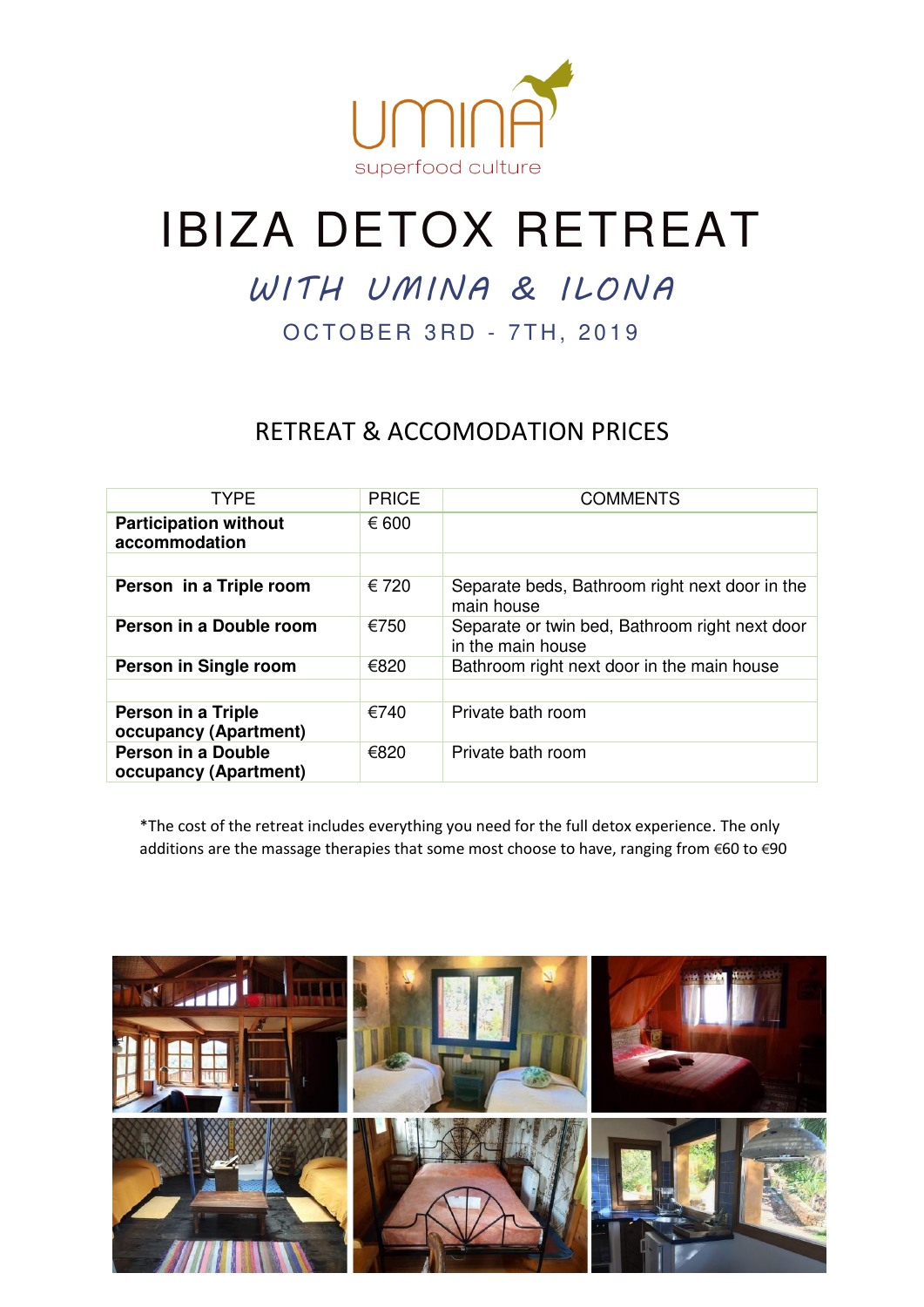

# IBIZA DETOX RETREAT

## WITH UMINA & ILONA

OCTOBER 3RD - 7TH, 2019

### RETREAT & ACCOMODATION PRICES

| <b>TYPE</b>                                   | <b>PRICE</b> | <b>COMMENTS</b>                                                     |
|-----------------------------------------------|--------------|---------------------------------------------------------------------|
| <b>Participation without</b><br>accommodation | € 600        |                                                                     |
|                                               |              |                                                                     |
| Person in a Triple room                       | € 720        | Separate beds, Bathroom right next door in the<br>main house        |
| Person in a Double room                       | €750         | Separate or twin bed, Bathroom right next door<br>in the main house |
| Person in Single room                         | €820         | Bathroom right next door in the main house                          |
|                                               |              |                                                                     |
| Person in a Triple                            | €740         | Private bath room                                                   |
| occupancy (Apartment)                         |              |                                                                     |
| Person in a Double<br>occupancy (Apartment)   | €820         | Private bath room                                                   |

\*The cost of the retreat includes everything you need for the full detox experience. The only additions are the massage therapies that some most choose to have, ranging from €60 to €90